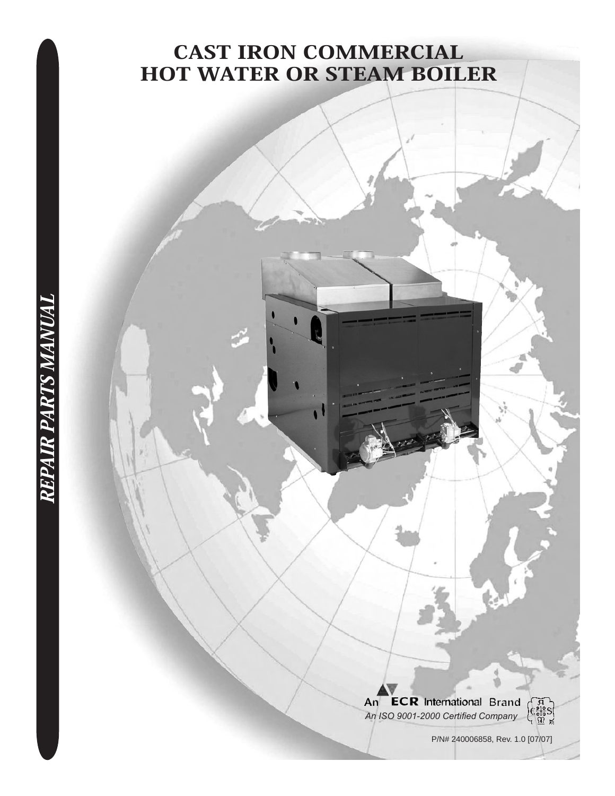# Cast Iron Commercial HOT WATER OR STEAM BOILER

An **ECR** International Brand *An ISO 9001-2000 Certified Company*



P/N# 240006858, Rev. 1.0 [07/07]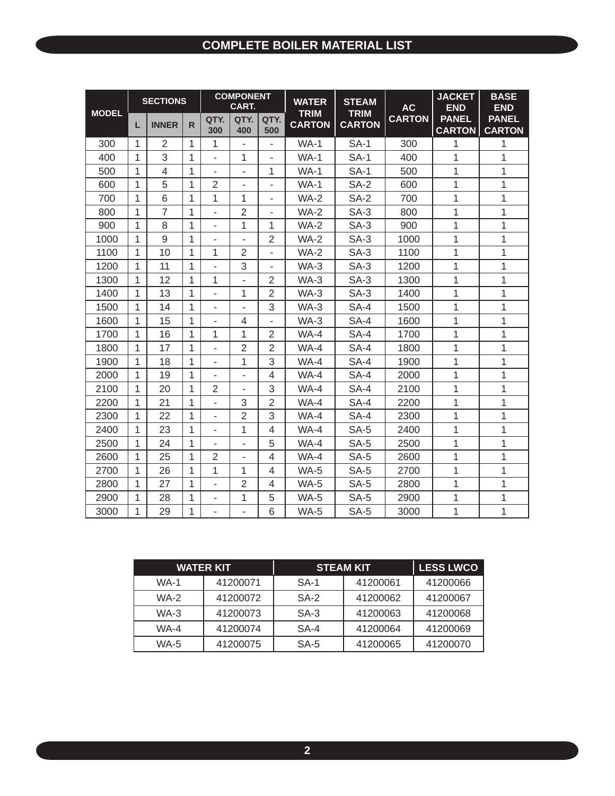#### **COMPLETE BOILER MATERIAL LIST**

| <b>MODEL</b> |   | <b>SECTIONS</b> |              | <b>COMPONENT</b><br><b>CART.</b> |                |                          | <b>WATER</b><br><b>TRIM</b> | <b>STEAM</b><br><b>TRIM</b> | <b>AC</b>     | <b>JACKET</b><br><b>END</b>   | <b>BASE</b><br><b>END</b>     |
|--------------|---|-----------------|--------------|----------------------------------|----------------|--------------------------|-----------------------------|-----------------------------|---------------|-------------------------------|-------------------------------|
|              | L | <b>INNER</b>    | R.           | QTY.<br>300                      | QTY.<br>400    | QTY.<br>500              | <b>CARTON</b>               | <b>CARTON</b>               | <b>CARTON</b> | <b>PANEL</b><br><b>CARTON</b> | <b>PANEL</b><br><b>CARTON</b> |
| 300          | 1 | $\overline{2}$  | $\mathbf{1}$ | 1                                |                | ÷.                       | $WA-1$                      | <b>SA-1</b>                 | 300           | 1                             | 1                             |
| 400          | 1 | 3               | 1            | L,                               | $\mathbf{1}$   |                          | $WA-1$                      | $SA-1$                      | 400           | 1                             | 1                             |
| 500          | 1 | 4               | 1            | $\overline{\phantom{0}}$         | ÷,             | 1                        | $WA-1$                      | $SA-1$                      | 500           | $\mathbf{1}$                  | 1                             |
| 600          | 1 | 5               | 1            | $\overline{2}$                   | L.             | ä,                       | $WA-1$                      | $SA-2$                      | 600           | 1                             | 1                             |
| 700          | 1 | 6               | 1            | 1                                | 1              |                          | <b>WA-2</b>                 | <b>SA-2</b>                 | 700           | 1                             | $\mathbf 1$                   |
| 800          | 1 | $\overline{7}$  | 1            | ÷,                               | $\overline{2}$ | $\overline{\phantom{a}}$ | <b>WA-2</b>                 | $SA-3$                      | 800           | 1                             | 1                             |
| 900          | 1 | 8               | 1            | $\overline{\phantom{0}}$         | 1              | 1                        | <b>WA-2</b>                 | $SA-3$                      | 900           | 1                             | 1                             |
| 1000         | 1 | 9               | 1            | ÷,                               |                | $\overline{2}$           | $WA-2$                      | $SA-3$                      | 1000          | $\mathbf{1}$                  | $\mathbf 1$                   |
| 1100         | 1 | 10              | $\mathbf{1}$ | 1                                | $\overline{2}$ |                          | $WA-2$                      | $SA-3$                      | 1100          | 1                             | 1                             |
| 1200         | 1 | 11              | 1            |                                  | 3              |                          | $WA-3$                      | $SA-3$                      | 1200          | $\mathbf{1}$                  | $\mathbf 1$                   |
| 1300         | 1 | 12              | 1            | 1                                | $\overline{a}$ | $\overline{2}$           | $WA-3$                      | $SA-3$                      | 1300          | $\mathbf{1}$                  | 1                             |
| 1400         | 1 | 13              | 1            | ä,                               | $\mathbf{1}$   | $\overline{2}$           | $WA-3$                      | $SA-3$                      | 1400          | 1                             | 1                             |
| 1500         | 1 | 14              | 1            | -                                |                | 3                        | $WA-3$                      | SA-4                        | 1500          | 1                             | 1                             |
| 1600         | 1 | 15              | 1            | ÷,                               | 4              |                          | $WA-3$                      | SA-4                        | 1600          | 1                             | 1                             |
| 1700         | 1 | 16              | 1            | 1                                | 1              | $\overline{2}$           | WA-4                        | SA-4                        | 1700          | 1                             | 1                             |
| 1800         | 1 | 17              | 1            | ÷,                               | $\overline{2}$ | $\overline{2}$           | $WA-4$                      | SA-4                        | 1800          | 1                             | 1                             |
| 1900         | 1 | 18              | 1            | ۰                                | 1              | 3                        | WA-4                        | SA-4                        | 1900          | 1                             | 1                             |
| 2000         | 1 | 19              | 1            |                                  |                | $\overline{4}$           | WA-4                        | SA-4                        | 2000          | 1                             | 1                             |
| 2100         | 1 | 20              | 1            | $\overline{2}$                   |                | 3                        | $WA-4$                      | SA-4                        | 2100          | $\mathbf{1}$                  | 1                             |
| 2200         | 1 | 21              | 1            | L.                               | 3              | $\overline{2}$           | $WA-4$                      | SA-4                        | 2200          | 1                             | 1                             |
| 2300         | 1 | 22              | 1            | ä,                               | $\overline{2}$ | 3                        | WA-4                        | SA-4                        | 2300          | $\mathbf{1}$                  | $\mathbf 1$                   |
| 2400         | 1 | 23              | $\mathbf{1}$ | $\overline{\phantom{0}}$         | 1              | 4                        | $WA-4$                      | $SA-5$                      | 2400          | 1                             | 1                             |
| 2500         | 1 | 24              | 1            | ä,                               | ä,             | 5                        | $WA-4$                      | $SA-5$                      | 2500          | 1                             | 1                             |
| 2600         | 1 | 25              | 1            | 2                                | ä,             | 4                        | $WA-4$                      | $SA-5$                      | 2600          | $\mathbf{1}$                  | 1                             |
| 2700         | 1 | 26              | 1            | 1                                | 1              | 4                        | WA-5                        | $SA-5$                      | 2700          | 1                             | 1                             |
| 2800         | 1 | 27              | 1            | ä,                               | $\overline{2}$ | $\overline{4}$           | WA-5                        | $SA-5$                      | 2800          | $\mathbf{1}$                  | 1                             |
| 2900         | 1 | 28              | 1            | $\overline{\phantom{0}}$         | 1              | 5                        | WA-5                        | $SA-5$                      | 2900          | 1                             | 1                             |
| 3000         | 1 | 29              | $\mathbf{1}$ | $\overline{\phantom{0}}$         |                | 6                        | $WA-5$                      | $SA-5$                      | 3000          | 1                             | 1                             |

|             | <b>WATER KIT</b> |        | <b>STEAM KIT</b> |          |  |  |
|-------------|------------------|--------|------------------|----------|--|--|
| <b>WA-1</b> | 41200071         | $SA-1$ | 41200061         | 41200066 |  |  |
| <b>WA-2</b> | 41200072         | $SA-2$ | 41200062         | 41200067 |  |  |
| $WA-3$      | 41200073         | $SA-3$ | 41200063         | 41200068 |  |  |
| <b>WA-4</b> | 41200074         | SA-4   | 41200064         | 41200069 |  |  |
| WA-5        | 41200075         | $SA-5$ | 41200065         | 41200070 |  |  |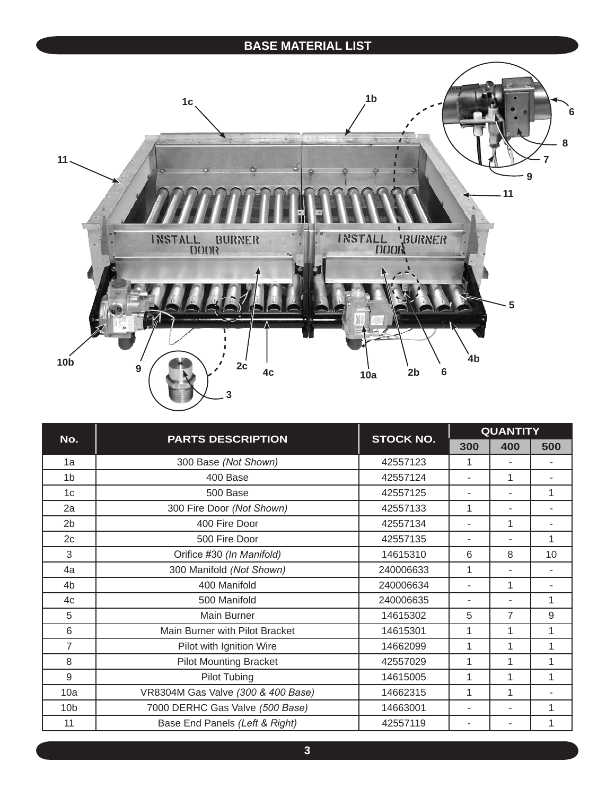#### **BASE MATERIAL LIST**



| No.             | <b>PARTS DESCRIPTION</b>           | <b>STOCK NO.</b> | <b>QUANTITY</b> |     |     |  |  |
|-----------------|------------------------------------|------------------|-----------------|-----|-----|--|--|
|                 |                                    |                  | 300             | 400 | 500 |  |  |
| 1a              | 300 Base (Not Shown)               | 42557123         | 1               |     |     |  |  |
| 1 <sub>b</sub>  | 400 Base                           | 42557124         | ٠               | 1   |     |  |  |
| 1c              | 500 Base                           | 42557125         |                 | ٠   | 1   |  |  |
| 2a              | 300 Fire Door (Not Shown)          | 42557133         | 1               |     |     |  |  |
| 2 <sub>b</sub>  | 400 Fire Door                      | 42557134         |                 | 1   |     |  |  |
| 2c              | 500 Fire Door                      | 42557135         |                 |     | 1   |  |  |
| 3               | Orifice #30 (In Manifold)          | 14615310         | 6               | 8   | 10  |  |  |
| 4a              | 300 Manifold (Not Shown)           | 240006633        | 1               |     |     |  |  |
| 4 <sub>b</sub>  | 400 Manifold                       | 240006634        |                 | 1   |     |  |  |
| 4c              | 500 Manifold                       | 240006635        |                 |     | 1   |  |  |
| 5               | Main Burner                        | 14615302         | 5               | 7   | 9   |  |  |
| 6               | Main Burner with Pilot Bracket     | 14615301         | 1               | 1   | 1   |  |  |
| $\overline{7}$  | Pilot with Ignition Wire           | 14662099         | 1               | 1   | 1   |  |  |
| 8               | <b>Pilot Mounting Bracket</b>      | 42557029         | 1               | 1   | 1   |  |  |
| 9               | <b>Pilot Tubing</b>                | 14615005         | 1               | 1   | 1   |  |  |
| 10a             | VR8304M Gas Valve (300 & 400 Base) | 14662315         | 1               | 1   |     |  |  |
| 10 <sub>b</sub> | 7000 DERHC Gas Valve (500 Base)    | 14663001         |                 |     | 1   |  |  |
| 11              | Base End Panels (Left & Right)     | 42557119         |                 |     | 1   |  |  |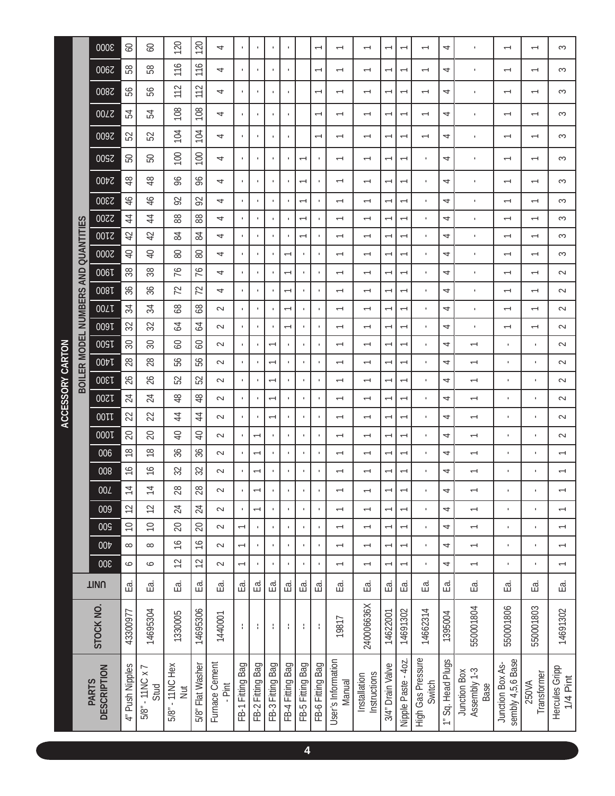|                          | 3000                               | $\infty$        | SO                         | 120                           | 120              | 4                        |                          |                          |                  |                          |                  | $\overline{ }$           | $\overline{\phantom{0}}$     | $\overline{\phantom{0}}$     |                          | $\overline{ }$           | $\overline{ }$              | 4                 | J.                                   | $\overline{ }$                        | $\overline{\phantom{0}}$ | 3                          |
|--------------------------|------------------------------------|-----------------|----------------------------|-------------------------------|------------------|--------------------------|--------------------------|--------------------------|------------------|--------------------------|------------------|--------------------------|------------------------------|------------------------------|--------------------------|--------------------------|-----------------------------|-------------------|--------------------------------------|---------------------------------------|--------------------------|----------------------------|
|                          | 0067                               | 58              | 58                         | 116                           | 116              | 4                        |                          |                          |                  |                          |                  | $\overline{ }$           | $\overline{\phantom{0}}$     | $\overline{\phantom{0}}$     |                          | $\overline{\phantom{0}}$ | $\overline{ }$              | 4                 | $\,$ I                               | $\overline{\phantom{0}}$              | $\overline{\phantom{0}}$ | 3                          |
|                          | 0087                               | 99              | 56                         | 112                           | 112              | 4                        | $\mathbf{I}$             |                          | $\mathbf{I}$     | $\mathbf{I}$             |                  | $\overline{\phantom{0}}$ | $\overline{\phantom{0}}$     | $\overline{\phantom{0}}$     | $\overline{ }$           | $\overline{\phantom{0}}$ | $\overline{ }$              | 4                 | $\mathbf{I}$                         | $\overline{\phantom{0}}$              | $\overline{\phantom{0}}$ | 3                          |
|                          | 00LZ                               | 54              | 54                         | 108                           | 108              | 4                        |                          |                          |                  |                          |                  | $\overline{\phantom{0}}$ | $\overline{\phantom{0}}$     | $\overline{\phantom{0}}$     |                          | $\overline{ }$           | $\overline{\phantom{0}}$    | 4                 | ٠                                    | $\overline{ }$                        | $\overline{\phantom{0}}$ | S                          |
|                          | 0097                               | 52              | 52                         | 104                           | 104              | 4                        |                          |                          |                  |                          |                  | $\overline{ }$           | $\overline{\phantom{0}}$     | $\overline{\phantom{0}}$     | ᠇                        | $\overline{\phantom{0}}$ | $\overline{ }$              | 4                 | $\mathbf{I}$                         | $\overline{\phantom{0}}$              | $\overline{\phantom{0}}$ | $\sim$                     |
|                          | 2500                               | 50              | 50                         | 100                           | 100              | 4                        |                          |                          | f.               | $\mathbf{I}$             | $\overline{ }$   | ٠                        | $\overline{ }$               | $\overline{\phantom{0}}$     |                          | $\overline{\phantom{0}}$ | $\mathbf{I}$                | 4                 | 1                                    | $\overline{\phantom{0}}$              | $\overline{\phantom{0}}$ | S                          |
|                          | 2400                               | $\frac{8}{4}$   | $\frac{8}{4}$              | 96                            | 96               | 4                        |                          |                          |                  | $\blacksquare$           | $\overline{ }$   | $\mathbf{I}$             | $\overline{\phantom{0}}$     | $\overline{\phantom{0}}$     |                          | $\overline{\phantom{0}}$ | $\mathbf{I}$                | 4                 | J.                                   | $\overline{\phantom{0}}$              | $\overline{\phantom{0}}$ | S                          |
|                          | 2300                               | $\frac{4}{6}$   | 46                         | 92                            | 92               | 4                        |                          |                          |                  |                          | $\overline{ }$   |                          | $\overline{\phantom{0}}$     | $\overline{\phantom{0}}$     | ↽                        | $\overline{\phantom{0}}$ | $\mathbf{I}$                | 4                 | $\mathbf{I}$                         | $\overline{\phantom{0}}$              | $\overline{\phantom{0}}$ | 3                          |
|                          | 2200                               | $\overline{4}$  | $\overline{4}$             | 88                            | 88               | 4                        |                          |                          |                  | ×                        | $\overline{ }$   |                          | $\overline{\phantom{0}}$     | $\overline{\phantom{0}}$     |                          | $\overline{\phantom{0}}$ | $\mathbf{I}$                | 4                 | $\mathbf{I}$                         | $\overline{\phantom{0}}$              | $\overline{\phantom{0}}$ | 3                          |
|                          | 00L                                | $\overline{4}$  | 42                         | 84                            | 84               | 4                        |                          |                          |                  | $\overline{1}$           | $\overline{ }$   |                          | $\overline{\phantom{0}}$     | $\overline{\phantom{0}}$     | $\overline{ }$           | $\overline{\phantom{0}}$ | $\mathbf{1}$                | 4                 | $\mathbf{I}$                         |                                       | $\overline{\phantom{0}}$ | $\sim$                     |
| QUANTITIES               | <b>2000</b>                        | $\overline{a}$  | $\Theta$                   | 80                            | 80               | 4                        |                          |                          |                  | $\overline{ }$           |                  |                          | $\overline{\phantom{0}}$     | $\overline{\phantom{0}}$     | $\overline{ }$           | $\overline{\phantom{0}}$ | $\mathbf{1}$                | 4                 | $\mathbf{I}$                         | $\overline{ }$                        | $\overline{\phantom{0}}$ | 3                          |
|                          | 006L                               | 38              | 38                         | 76                            | 76               | 4                        |                          |                          |                  | $\overline{\phantom{0}}$ |                  | $\mathbf{r}$             | $\overline{\phantom{m}}$     | $\overline{\phantom{m}}$     | $\overline{ }$           | $\overline{ }$           | $\mathbf{L}$                | 4                 | $\mathbf{I}$                         | $\overline{\phantom{0}}$              | $\overline{\phantom{0}}$ | $\sim$                     |
| BOILER MODEL NUMBERS AND | 008L                               | 36              | 36                         | 72                            | 72               | 4                        |                          |                          |                  | $\overline{\phantom{0}}$ |                  |                          | $\overline{\phantom{0}}$     | $\overline{\phantom{m}}$     | $\overline{ }$           | $\overline{\phantom{0}}$ | $\mathbf{1}$                | 4                 | $\mathbf{I}$                         | $\overline{\phantom{0}}$              | $\overline{\phantom{0}}$ | $\sim$                     |
|                          | 00LL                               | 34              | 34                         | 89                            | 89               | $\sim$                   |                          |                          |                  | $\overline{\phantom{0}}$ |                  |                          | $\overline{\phantom{0}}$     | $\overline{\phantom{m}}$     |                          | $\overline{ }$           | $\mathbf{I}$                | 4                 | $\mathbf{I}$                         | $\overline{\phantom{0}}$              | $\overline{\phantom{0}}$ | $\sim$                     |
|                          | 009L                               | 32              | 32                         | 54                            | 64               | $\sim$                   |                          |                          |                  |                          |                  |                          | $\overline{\phantom{0}}$     | $\overline{\phantom{0}}$     | $\mathbf{\tau}$          | $\overline{\phantom{0}}$ | $\mathbf{1}$                | 4                 | $\mathbf{I}$                         | $\overline{\phantom{0}}$              | $\overline{\phantom{0}}$ | $\sim$                     |
|                          | 1500                               | $30\,$          | $\mathcal{S}$              | SO                            | <b>SO</b>        | $\sim$                   |                          |                          | $\overline{ }$   |                          |                  |                          | $\overline{\phantom{0}}$     | $\overline{\phantom{0}}$     |                          | $\overline{\phantom{0}}$ | $\mathbf{1}$                | 4                 | $\overline{\phantom{0}}$             | $\mathbf{r}$                          | $\mathbf{I}$             | $\sim$                     |
|                          | 00tl                               | 28              | 28                         | 56                            | 56               | $\sim$                   |                          |                          | $\overline{ }$   |                          |                  |                          | $\overline{\phantom{0}}$     | $\overline{\phantom{0}}$     |                          | $\overline{\phantom{0}}$ | $\mathbf{1}$                | 4                 | $\overline{\phantom{0}}$             | $\mathbf{I}$                          | $\mathbf{I}$             | $\sim$                     |
|                          | 1300                               | 26              | $\delta$                   | 52                            | 52               | $\sim$                   |                          |                          | $\overline{ }$   | $\mathbf{I}$             |                  | ٠,                       | $\overline{\phantom{0}}$     | $\overline{\phantom{0}}$     |                          | $\overline{\phantom{0}}$ | $\mathbf{I}$                | 4                 | $\overline{\phantom{0}}$             | $\mathbf{I}$                          | f,                       | $\sim$                     |
|                          | 1200                               | 24              | 24                         | 48                            | 48               | $\sim$                   |                          |                          | ᠇                | $\mathbf{I}$             |                  | ٠,                       | $\overline{\phantom{0}}$     | $\overline{\phantom{0}}$     |                          | $\overline{\phantom{0}}$ | $\mathbf{I}$                | 4                 | $\overline{\phantom{0}}$             | ٠,                                    | f,                       | $\sim$                     |
| ACCESSORY CARTON         | 00L                                | 22              | 22                         | $\overline{4}$                | $\overline{4}$   | $\sim$                   |                          |                          | $\overline{ }$   | $\mathbf{I}$             |                  |                          | $\overline{\phantom{0}}$     | $\overline{\phantom{m}}$     | ↽                        | $\overline{\phantom{0}}$ | $\mathbf{I}$                | 4                 | $\overline{\phantom{0}}$             | $\mathbf{I}$                          |                          | $\sim$                     |
|                          | 000L                               | 20              | 20                         | $\overline{P}$                | $\overline{4}$   | $\sim$                   |                          | $\overline{\phantom{0}}$ |                  | ×                        |                  |                          | $\overline{\phantom{0}}$     | $\overline{\phantom{m}}$     | $\overline{ }$           | $\overline{\phantom{0}}$ | $\mathbf{1}$                | 4                 | $\overline{\phantom{m}}$             | $\mathbf{r}$                          | $\mathbf{r}$             | $\sim$                     |
|                          | 006                                | $\frac{8}{1}$   | $\frac{8}{10}$             | 36                            | 36               | $\sim$                   |                          | $\overline{\phantom{0}}$ |                  | $\mathbf{I}$             |                  |                          | $\overline{\phantom{0}}$     | $\overline{\phantom{0}}$     | $\overline{ }$           | $\overline{\phantom{0}}$ | $\mathbf{1}$                | 4                 | $\overline{\phantom{0}}$             | $\mathbf{r}$                          | $\mathbf{I}$             | $\overline{\phantom{0}}$   |
|                          | 008                                | $\frac{9}{1}$   | $\frac{6}{1}$              | 32                            | 32               | $\sim$                   |                          |                          |                  |                          |                  |                          | $\overline{\phantom{0}}$     | $\overline{\phantom{0}}$     |                          | $\overline{\phantom{0}}$ | $\mathbf{1}$                | 4                 | $\overline{\phantom{0}}$             | $\mathbf{I}$                          | $\mathbf{I}$             | $\overline{\phantom{0}}$   |
|                          | 00L                                | $\overline{4}$  | $\overline{1}$             | 28                            | $28$             | $\sim$                   |                          | $\overline{ }$           |                  | ï                        |                  | $\mathbf{I}$             | $\overline{\phantom{0}}$     | $\overline{ }$               | $\overline{\phantom{0}}$ | $\overline{ }$           | $\mathbf{I}$                | 4                 | $\overline{\phantom{0}}$             | $\mathbf{r}$                          | $\mathbf{r}$             | $\overline{\phantom{0}}$   |
|                          | 009                                | $\approx$       | $\overline{C}$             | 24                            | 24               | $\sim$                   | $\mathbf{I}$             | $\overline{\phantom{0}}$ |                  | $\mathbf{r}$             |                  | $\mathbf{r}$             | $\overline{\phantom{0}}$     | $\overline{\phantom{m}}$     |                          | $\overline{ }$           | $\mathbf{L}$                | 4                 | $\overline{\phantom{0}}$             | $\mathbf{r}$                          | $\mathbf{r}$             | $\overline{\phantom{0}}$   |
|                          | 009                                | $\supseteq$     | $\supseteq$                | 20                            | 20               | $\sim$                   | $\overline{\phantom{0}}$ |                          |                  | $\mathbf{I}$             |                  | $\mathbf{I}$             | $\overline{\phantom{m}}$     | $\overline{\phantom{m}}$     | ᡕ                        | $\overline{\phantom{0}}$ | $\mathbf{I}$                | 4                 | $\overline{\phantom{0}}$             | $\mathbf{r}$                          | $\mathbf{r}$             | $\overline{\phantom{0}}$   |
|                          | $00\nightharpoonup$                | $\infty$        | $\infty$                   | $\frac{9}{10}$                | $\frac{6}{1}$    | $\sim$                   | $\overline{ }$           |                          | f,               | $\mathbf{I}$             |                  |                          | $\overline{\phantom{0}}$     | $\overline{\phantom{0}}$     | ٣                        | $\overline{ }$           | $\mathbf{I}$                | 4                 | $\overline{\phantom{0}}$             | $\mathbf{r}$                          | $\mathbf{r}$             | $\overline{\phantom{0}}$   |
|                          | 300                                | $\circ$         | $\bullet$                  | $\approx$                     | $\approx$        | $\sim$                   | $\overline{ }$           |                          |                  | $\mathbf{I}$             |                  | ٠                        | $\overline{\phantom{0}}$     | $\overline{\phantom{0}}$     |                          | $\overline{ }$           | $\mathbf{I}$                | 4                 | $\overline{\phantom{0}}$             | $\mathbf{r}$                          | $\mathbf{I}$             | $\overline{\phantom{0}}$   |
|                          | <b>TINU</b>                        | Εa.             | Ea.                        | Ea.                           | Ea.              | Ea.                      | Ea.                      | Еa.                      | Еā.              | Ea.                      | Ea.              | Εa.                      | Ea.                          | Ea.                          | Ea.                      | Εa.                      | Ea.                         | Ea.               | Ea.                                  | Ea.                                   | Ea.                      | Ea.                        |
|                          | STOCK NO.                          | 43300977        | 14695304                   | 1330005                       | 14695306         | 1440001                  | ÷.                       |                          |                  | ł                        | ÷                | ÷                        | 19817                        | 240006636X                   | 14622001                 | 14691302                 | 14662314                    | 1395004           | 550001804                            | 550001806                             | 550001803                | 14691302                   |
|                          | <b>DESCRIPTION</b><br><b>PARTS</b> | 4" Push Nipples | $5/8$ " - 11NC x 7<br>Stud | 5/8" - 11NC Hex<br><b>Jur</b> | 5/8" Flat Washer | Furnace Cement<br>. Pint | FB-1 Fitting Bag         | FB-2 Fitting Bag         | FB-3 Fitting Bag | FB-4 Fitting Bag         | FB-5 Fitting Bag | FB-6 Fitting Bag         | User's Information<br>Manual | Instructions<br>Installation | 3/4" Drain Valve         | Nipple Paste - 4oz.      | High Gas Pressure<br>Switch | 1" Sq. Head Plugs | Assembly 1-3<br>Junction Box<br>Base | sembly 4,5,6 Base<br>Junction Box As- | Transformer<br>250VA     | Hercules Gripp<br>1/4 Pint |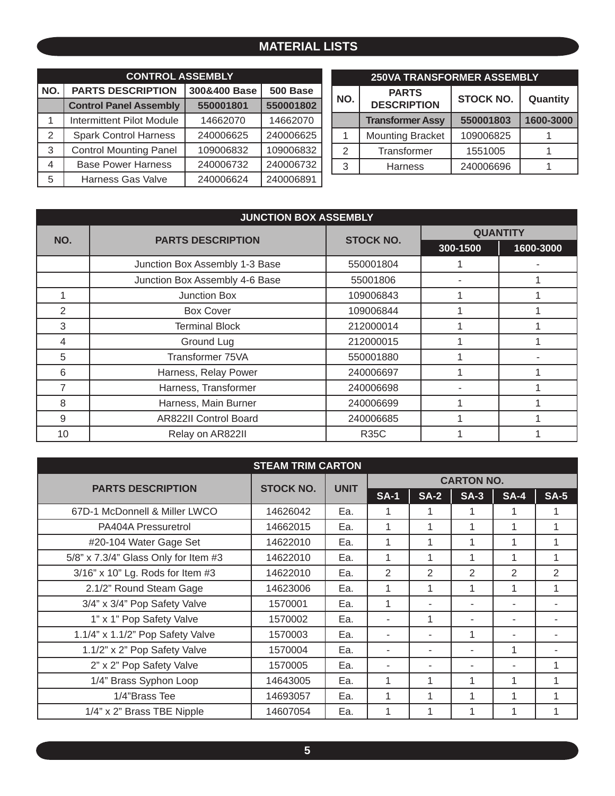### **MATERIAL LISTS**

|     | <b>CONTROL ASSEMBLY</b>          |              |           |  |
|-----|----------------------------------|--------------|-----------|--|
| NO. | <b>PARTS DESCRIPTION</b>         | 300&400 Base | 500 Base  |  |
|     | <b>Control Panel Assembly</b>    | 550001801    | 550001802 |  |
| 1   | <b>Intermittent Pilot Module</b> | 14662070     | 14662070  |  |
| 2   | <b>Spark Control Harness</b>     | 240006625    | 240006625 |  |
| 3   | <b>Control Mounting Panel</b>    | 109006832    | 109006832 |  |
| 4   | <b>Base Power Harness</b>        | 240006732    | 240006732 |  |
| 5   | <b>Harness Gas Valve</b>         | 240006624    | 240006891 |  |

| <b>250VA TRANSFORMER ASSEMBLY</b> |                                    |                  |           |  |  |  |  |  |
|-----------------------------------|------------------------------------|------------------|-----------|--|--|--|--|--|
| NO.                               | <b>PARTS</b><br><b>DESCRIPTION</b> | <b>STOCK NO.</b> | Quantity  |  |  |  |  |  |
|                                   | <b>Transformer Assy</b>            | 550001803        | 1600-3000 |  |  |  |  |  |
|                                   | <b>Mounting Bracket</b>            | 109006825        |           |  |  |  |  |  |
| 2                                 | Transformer                        | 1551005          |           |  |  |  |  |  |
| 3                                 | Harness                            | 240006696        |           |  |  |  |  |  |

| <b>JUNCTION BOX ASSEMBLY</b> |                                |                  |          |                 |  |  |  |  |
|------------------------------|--------------------------------|------------------|----------|-----------------|--|--|--|--|
| NO.                          | <b>PARTS DESCRIPTION</b>       | <b>STOCK NO.</b> |          | <b>QUANTITY</b> |  |  |  |  |
|                              |                                |                  | 300-1500 | 1600-3000       |  |  |  |  |
|                              | Junction Box Assembly 1-3 Base | 550001804        |          |                 |  |  |  |  |
|                              | Junction Box Assembly 4-6 Base | 55001806         |          |                 |  |  |  |  |
|                              | Junction Box                   | 109006843        |          |                 |  |  |  |  |
| $\overline{2}$               | <b>Box Cover</b>               | 109006844        |          |                 |  |  |  |  |
| 3                            | <b>Terminal Block</b>          | 212000014        |          |                 |  |  |  |  |
| 4                            | Ground Lug                     | 212000015        |          |                 |  |  |  |  |
| 5                            | Transformer 75VA               | 550001880        |          |                 |  |  |  |  |
| 6                            | Harness, Relay Power           | 240006697        |          |                 |  |  |  |  |
| 7                            | Harness, Transformer           | 240006698        |          |                 |  |  |  |  |
| 8                            | Harness, Main Burner           | 240006699        |          |                 |  |  |  |  |
| 9                            | <b>AR822II Control Board</b>   | 240006685        |          |                 |  |  |  |  |
| 10                           | Relay on AR822II               | <b>R35C</b>      |          |                 |  |  |  |  |

| <b>STEAM TRIM CARTON</b>             |                  |             |                   |                |                          |              |                |  |  |
|--------------------------------------|------------------|-------------|-------------------|----------------|--------------------------|--------------|----------------|--|--|
| <b>PARTS DESCRIPTION</b>             | <b>STOCK NO.</b> | <b>UNIT</b> | <b>CARTON NO.</b> |                |                          |              |                |  |  |
|                                      |                  |             | <b>SA-1</b>       | <b>SA-2</b>    | $SA-3$                   | <b>SA-4</b>  | <b>SA-5</b>    |  |  |
| 67D-1 McDonnell & Miller LWCO        | 14626042         | Ea.         | 1                 | 1              | 1                        | 1            |                |  |  |
| PA404A Pressuretrol                  | 14662015         | Ea.         | 1                 |                | 1                        | 1            |                |  |  |
| #20-104 Water Gage Set               | 14622010         | Ea.         | 1                 |                | 1                        | 1            |                |  |  |
| 5/8" x 7.3/4" Glass Only for Item #3 | 14622010         | Ea.         | 1                 | 1              | 1                        | 1            |                |  |  |
| 3/16" x 10" Lg. Rods for Item #3     | 14622010         | Ea.         | 2                 | $\mathfrak{p}$ | $\mathfrak{D}$           | 2            | $\overline{2}$ |  |  |
| 2.1/2" Round Steam Gage              | 14623006         | Ea.         | 1                 | 1              | 1                        | $\mathbf{1}$ |                |  |  |
| 3/4" x 3/4" Pop Safety Valve         | 1570001          | Ea.         | 1                 |                | $\overline{\phantom{a}}$ |              |                |  |  |
| 1" x 1" Pop Safety Valve             | 1570002          | Ea.         |                   | 1              | ۰                        |              |                |  |  |
| 1.1/4" x 1.1/2" Pop Safety Valve     | 1570003          | Ea.         | ٠                 | ٠              | 1                        |              |                |  |  |
| 1.1/2" x 2" Pop Safety Valve         | 1570004          | Ea.         | ۰                 | ۰              | ۰                        | 1            |                |  |  |
| 2" x 2" Pop Safety Valve             | 1570005          | Ea.         |                   |                |                          |              |                |  |  |
| 1/4" Brass Syphon Loop               | 14643005         | Ea.         | 1                 |                | 1                        | 1            |                |  |  |
| 1/4"Brass Tee                        | 14693057         | Ea.         | 1                 |                | 1                        | 1            |                |  |  |
| 1/4" x 2" Brass TBE Nipple           | 14607054         | Ea.         | 1                 |                |                          | 1            |                |  |  |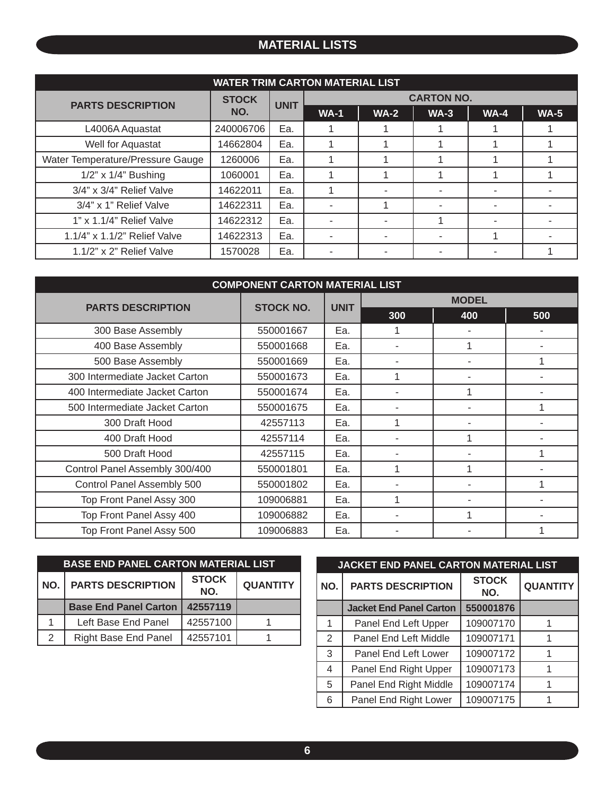#### **MATERIAL LISTS**

| <b>WATER TRIM CARTON MATERIAL LIST</b> |              |             |                   |        |        |        |        |  |  |
|----------------------------------------|--------------|-------------|-------------------|--------|--------|--------|--------|--|--|
| <b>PARTS DESCRIPTION</b>               | <b>STOCK</b> | <b>UNIT</b> | <b>CARTON NO.</b> |        |        |        |        |  |  |
|                                        | NO.          |             | <b>WA-1</b>       | $WA-2$ | $WA-3$ | $WA-4$ | $WA-5$ |  |  |
| L4006A Aquastat                        | 240006706    | Ea.         |                   |        |        |        |        |  |  |
| Well for Aquastat                      | 14662804     | Ea.         |                   |        |        |        |        |  |  |
| Water Temperature/Pressure Gauge       | 1260006      | Ea.         |                   |        |        |        |        |  |  |
| $1/2$ " x $1/4$ " Bushing              | 1060001      | Ea.         |                   |        |        |        |        |  |  |
| 3/4" x 3/4" Relief Valve               | 14622011     | Ea.         |                   |        |        |        |        |  |  |
| 3/4" x 1" Relief Valve                 | 14622311     | Ea.         |                   |        |        |        |        |  |  |
| 1" x 1.1/4" Relief Valve               | 14622312     | Ea.         |                   |        |        |        |        |  |  |
| 1.1/4" x 1.1/2" Relief Valve           | 14622313     | Ea.         |                   | ۰      |        |        |        |  |  |
| $1.1/2$ " x 2" Relief Valve            | 1570028      | Ea.         |                   | ۰      |        |        |        |  |  |

| <b>COMPONENT CARTON MATERIAL LIST</b> |                  |             |              |     |     |  |  |  |
|---------------------------------------|------------------|-------------|--------------|-----|-----|--|--|--|
| <b>PARTS DESCRIPTION</b>              | <b>STOCK NO.</b> |             | <b>MODEL</b> |     |     |  |  |  |
|                                       |                  | <b>UNIT</b> | 300          | 400 | 500 |  |  |  |
| 300 Base Assembly                     | 550001667        | Ea.         |              |     |     |  |  |  |
| 400 Base Assembly                     | 550001668        | Ea.         |              |     |     |  |  |  |
| 500 Base Assembly                     | 550001669        | Ea.         |              |     |     |  |  |  |
| 300 Intermediate Jacket Carton        | 550001673        | Ea.         |              |     |     |  |  |  |
| 400 Intermediate Jacket Carton        | 550001674        | Ea.         |              |     |     |  |  |  |
| 500 Intermediate Jacket Carton        | 550001675        | Ea.         |              |     |     |  |  |  |
| 300 Draft Hood                        | 42557113         | Ea.         |              |     |     |  |  |  |
| 400 Draft Hood                        | 42557114         | Ea.         |              |     |     |  |  |  |
| 500 Draft Hood                        | 42557115         | Ea.         |              |     |     |  |  |  |
| Control Panel Assembly 300/400        | 550001801        | Ea.         | 1            |     |     |  |  |  |
| Control Panel Assembly 500            | 550001802        | Ea.         |              |     |     |  |  |  |
| Top Front Panel Assy 300              | 109006881        | Ea.         |              |     |     |  |  |  |
| Top Front Panel Assy 400              | 109006882        | Ea.         |              |     |     |  |  |  |
| Top Front Panel Assy 500              | 109006883        | Ea.         |              |     |     |  |  |  |

| <b>BASE END PANEL CARTON MATERIAL LIST</b> |                              |                     |                 |  |  |  |  |  |
|--------------------------------------------|------------------------------|---------------------|-----------------|--|--|--|--|--|
| NO.I                                       | <b>PARTS DESCRIPTION</b>     | <b>STOCK</b><br>NO. | <b>QUANTITY</b> |  |  |  |  |  |
|                                            | <b>Base End Panel Carton</b> | 42557119            |                 |  |  |  |  |  |
|                                            | Left Base End Panel          | 42557100            |                 |  |  |  |  |  |
| $\mathcal{P}$                              | <b>Right Base End Panel</b>  | 42557101            |                 |  |  |  |  |  |

| <b>JACKET END PANEL CARTON MATERIAL LIST</b> |                                |                     |                 |  |  |  |  |  |
|----------------------------------------------|--------------------------------|---------------------|-----------------|--|--|--|--|--|
| NO.                                          | <b>PARTS DESCRIPTION</b>       | <b>STOCK</b><br>NO. | <b>QUANTITY</b> |  |  |  |  |  |
|                                              | <b>Jacket End Panel Carton</b> | 550001876           |                 |  |  |  |  |  |
|                                              | Panel End Left Upper           | 109007170           |                 |  |  |  |  |  |
| 2                                            | Panel End Left Middle          | 109007171           |                 |  |  |  |  |  |
| 3                                            | Panel End Left Lower           | 109007172           |                 |  |  |  |  |  |
| 4                                            | Panel End Right Upper          | 109007173           | 1               |  |  |  |  |  |
| 5                                            | Panel End Right Middle         | 109007174           |                 |  |  |  |  |  |
| 6                                            | Panel End Right Lower          | 109007175           |                 |  |  |  |  |  |